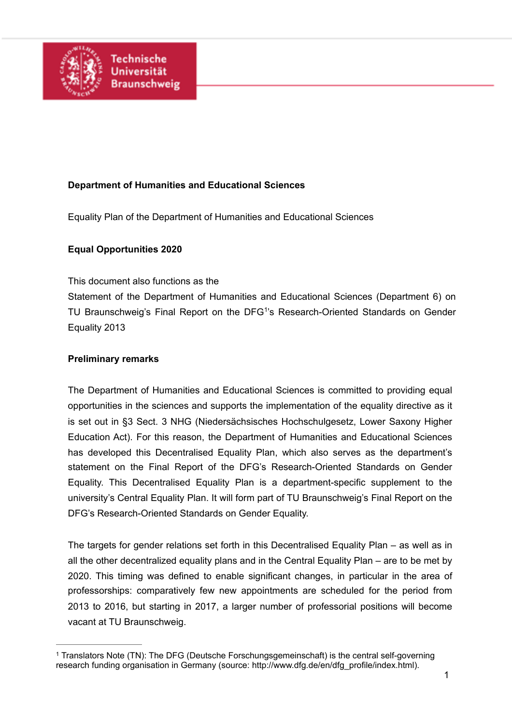

## **Department of Humanities and Educational Sciences**

Equality Plan of the Department of Humanities and Educational Sciences

### **Equal Opportunities 2020**

This document also functions as the

<span id="page-0-1"></span>Statement of the Department of Humanities and Educational Sciences (Department 6) on TU Braunschweig['](#page-0-0)s Final Report on the DFG<sup>[1](#page-0-0)</sup>'s Research-Oriented Standards on Gender Equality 2013

#### **Preliminary remarks**

The Department of Humanities and Educational Sciences is committed to providing equal opportunities in the sciences and supports the implementation of the equality directive as it is set out in §3 Sect. 3 NHG (Niedersächsisches Hochschulgesetz, Lower Saxony Higher Education Act). For this reason, the Department of Humanities and Educational Sciences has developed this Decentralised Equality Plan, which also serves as the department's statement on the Final Report of the DFG's Research-Oriented Standards on Gender Equality. This Decentralised Equality Plan is a department-specific supplement to the university's Central Equality Plan. It will form part of TU Braunschweig's Final Report on the DFG's Research-Oriented Standards on Gender Equality.

The targets for gender relations set forth in this Decentralised Equality Plan – as well as in all the other decentralized equality plans and in the Central Equality Plan – are to be met by 2020. This timing was defined to enable significant changes, in particular in the area of professorships: comparatively few new appointments are scheduled for the period from 2013 to 2016, but starting in 2017, a larger number of professorial positions will become vacant at TU Braunschweig.

<span id="page-0-0"></span><sup>&</sup>lt;sup>1</sup>Translators Note (TN): The DFG (Deutsche Forschungsgemeinschaft) is the central self-governing research funding organisation in Germany (source: http://www.dfg.de/en/dfg\_profile/index.html).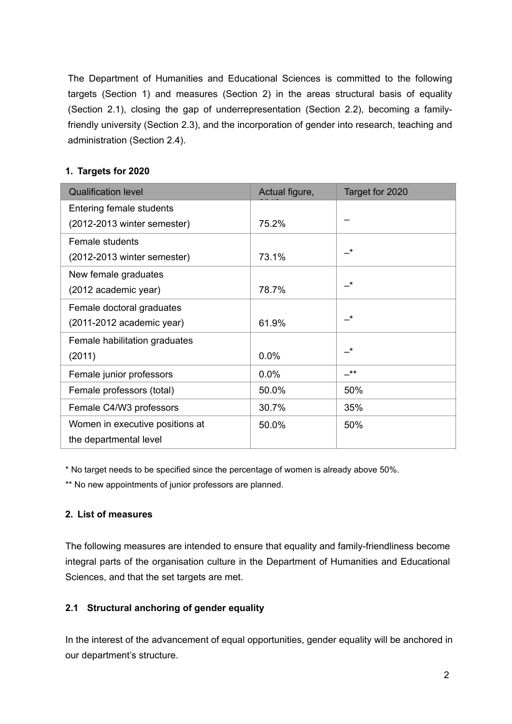The Department of Humanities and Educational Sciences is committed to the following targets (Section 1) and measures (Section 2) in the areas structural basis of equality (Section 2.1), closing the gap of underrepresentation (Section 2.2), becoming a familyfriendly university (Section 2.3), and the incorporation of gender into research, teaching and administration (Section 2.4).

# **1. Targets for 2020**

| <b>Qualification level</b>      | Actual figure, | Target for 2020            |
|---------------------------------|----------------|----------------------------|
| Entering female students        |                |                            |
| (2012-2013 winter semester)     | 75.2%          |                            |
| Female students                 |                |                            |
| (2012-2013 winter semester)     | 73.1%          | $\overline{\phantom{a}}^*$ |
| New female graduates            |                |                            |
| (2012 academic year)            | 78.7%          | $\star$                    |
| Female doctoral graduates       |                |                            |
| (2011-2012 academic year)       | 61.9%          | $\star$                    |
| Female habilitation graduates   |                |                            |
| (2011)                          | 0.0%           | $\star$                    |
| Female junior professors        | 0.0%           | $***$                      |
| Female professors (total)       | 50.0%          | 50%                        |
| Female C4/W3 professors         | 30.7%          | 35%                        |
| Women in executive positions at | 50.0%          | 50%                        |
| the departmental level          |                |                            |

\* No target needs to be specified since the percentage of women is already above 50%.

\*\* No new appointments of junior professors are planned.

## **2. List of measures**

The following measures are intended to ensure that equality and family-friendliness become integral parts of the organisation culture in the Department of Humanities and Educational Sciences, and that the set targets are met.

# **2.1 Structural anchoring of gender equality**

In the interest of the advancement of equal opportunities, gender equality will be anchored in our department's structure.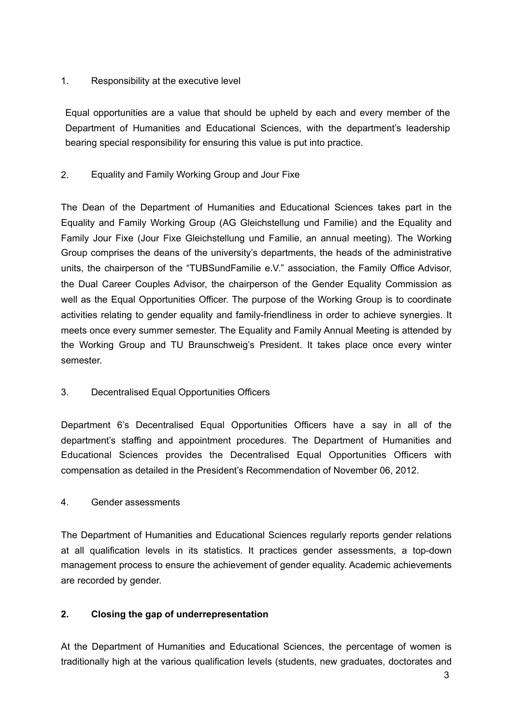## 1. Responsibility at the executive level

Equal opportunities are a value that should be upheld by each and every member of the Department of Humanities and Educational Sciences, with the department's leadership bearing special responsibility for ensuring this value is put into practice.

# 2. Equality and Family Working Group and Jour Fixe

The Dean of the Department of Humanities and Educational Sciences takes part in the Equality and Family Working Group (AG Gleichstellung und Familie) and the Equality and Family Jour Fixe (Jour Fixe Gleichstellung und Familie, an annual meeting). The Working Group comprises the deans of the university's departments, the heads of the administrative units, the chairperson of the "TUBSundFamilie e.V." association, the Family Office Advisor, the Dual Career Couples Advisor, the chairperson of the Gender Equality Commission as well as the Equal Opportunities Officer. The purpose of the Working Group is to coordinate activities relating to gender equality and family-friendliness in order to achieve synergies. It meets once every summer semester. The Equality and Family Annual Meeting is attended by the Working Group and TU Braunschweig's President. It takes place once every winter semester.

# 3. Decentralised Equal Opportunities Officers

Department 6's Decentralised Equal Opportunities Officers have a say in all of the department's staffing and appointment procedures. The Department of Humanities and Educational Sciences provides the Decentralised Equal Opportunities Officers with compensation as detailed in the President's Recommendation of November 06, 2012.

## 4. Gender assessments

The Department of Humanities and Educational Sciences regularly reports gender relations at all qualification levels in its statistics. It practices gender assessments, a top-down management process to ensure the achievement of gender equality. Academic achievements are recorded by gender.

# **2. Closing the gap of underrepresentation**

At the Department of Humanities and Educational Sciences, the percentage of women is traditionally high at the various qualification levels (students, new graduates, doctorates and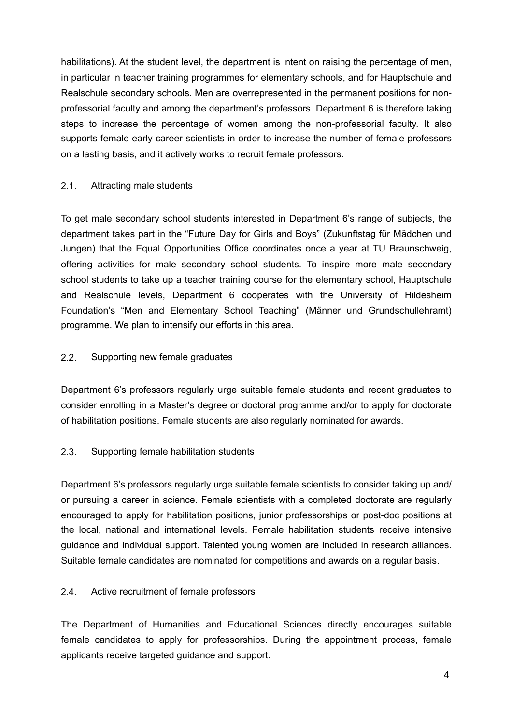habilitations). At the student level, the department is intent on raising the percentage of men. in particular in teacher training programmes for elementary schools, and for Hauptschule and Realschule secondary schools. Men are overrepresented in the permanent positions for nonprofessorial faculty and among the department's professors. Department 6 is therefore taking steps to increase the percentage of women among the non-professorial faculty. It also supports female early career scientists in order to increase the number of female professors on a lasting basis, and it actively works to recruit female professors.

### 2.1. Attracting male students

To get male secondary school students interested in Department 6's range of subjects, the department takes part in the "Future Day for Girls and Boys" (Zukunftstag für Mädchen und Jungen) that the Equal Opportunities Office coordinates once a year at TU Braunschweig, offering activities for male secondary school students. To inspire more male secondary school students to take up a teacher training course for the elementary school, Hauptschule and Realschule levels, Department 6 cooperates with the University of Hildesheim Foundation's "Men and Elementary School Teaching" (Männer und Grundschullehramt) programme. We plan to intensify our efforts in this area.

### 2.2. Supporting new female graduates

Department 6's professors regularly urge suitable female students and recent graduates to consider enrolling in a Master's degree or doctoral programme and/or to apply for doctorate of habilitation positions. Female students are also regularly nominated for awards.

## 2.3. Supporting female habilitation students

Department 6's professors regularly urge suitable female scientists to consider taking up and/ or pursuing a career in science. Female scientists with a completed doctorate are regularly encouraged to apply for habilitation positions, junior professorships or post-doc positions at the local, national and international levels. Female habilitation students receive intensive guidance and individual support. Talented young women are included in research alliances. Suitable female candidates are nominated for competitions and awards on a regular basis.

#### 2.4. Active recruitment of female professors

The Department of Humanities and Educational Sciences directly encourages suitable female candidates to apply for professorships. During the appointment process, female applicants receive targeted guidance and support.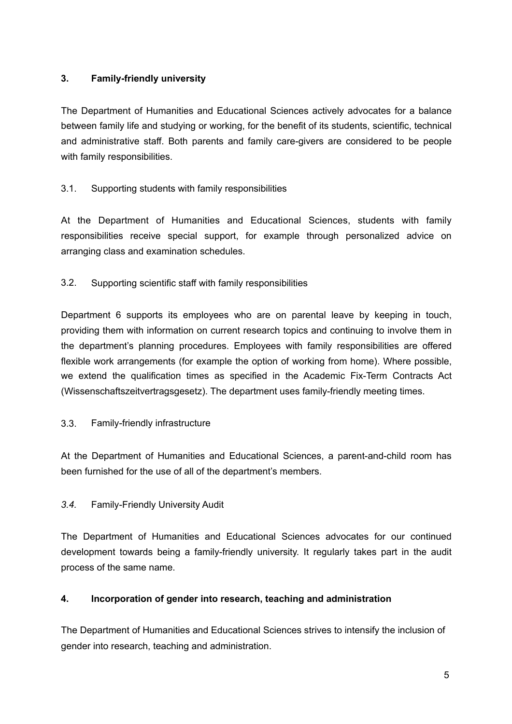# **3. Family-friendly university**

The Department of Humanities and Educational Sciences actively advocates for a balance between family life and studying or working, for the benefit of its students, scientific, technical and administrative staff. Both parents and family care-givers are considered to be people with family responsibilities.

# 3.1. Supporting students with family responsibilities

At the Department of Humanities and Educational Sciences, students with family responsibilities receive special support, for example through personalized advice on arranging class and examination schedules.

3.2. Supporting scientific staff with family responsibilities

Department 6 supports its employees who are on parental leave by keeping in touch, providing them with information on current research topics and continuing to involve them in the department's planning procedures. Employees with family responsibilities are offered flexible work arrangements (for example the option of working from home). Where possible, we extend the qualification times as specified in the Academic Fix-Term Contracts Act (Wissenschaftszeitvertragsgesetz). The department uses family-friendly meeting times.

## 3.3. Family-friendly infrastructure

At the Department of Humanities and Educational Sciences, a parent-and-child room has been furnished for the use of all of the department's members.

## *3.4.* Family-Friendly University Audit

The Department of Humanities and Educational Sciences advocates for our continued development towards being a family-friendly university. It regularly takes part in the audit process of the same name.

## **4. Incorporation of gender into research, teaching and administration**

The Department of Humanities and Educational Sciences strives to intensify the inclusion of gender into research, teaching and administration.